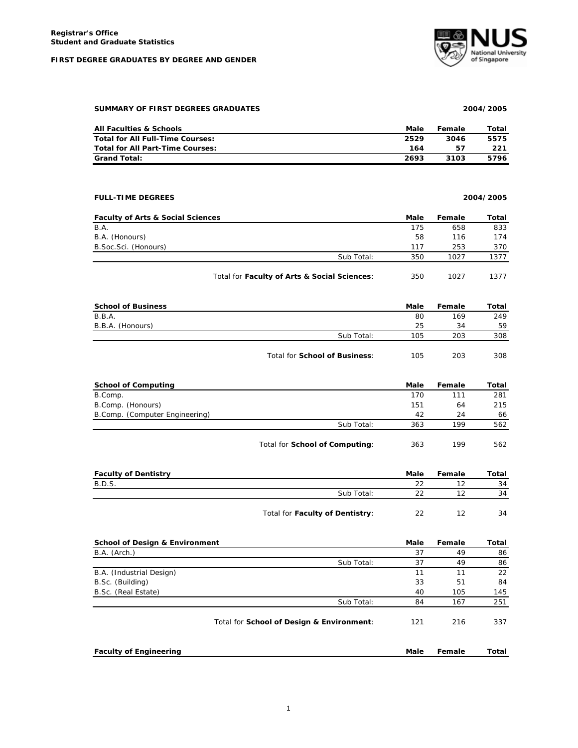#### **FIRST DEGREE GRADUATES BY DEGREE AND GENDER**



## **SUMMARY OF FIRST DEGREES GRADUATES 2004/2005**

| <b>All Faculties &amp; Schools</b> | Male | Female | Total |
|------------------------------------|------|--------|-------|
| Total for All Full-Time Courses:   | 2529 | 3046   | 5575  |
| Total for All Part-Time Courses:   | 164  | 57     | 221   |
| <b>Grand Total:</b>                | 2693 | 3103   | 5796  |

## **FULL-TIME DEGREES 2004/2005**

| <b>Faculty of Arts &amp; Social Sciences</b> |                                              | Male | Female | Total |
|----------------------------------------------|----------------------------------------------|------|--------|-------|
| B.A.                                         |                                              | 175  | 658    | 833   |
| B.A. (Honours)                               |                                              | 58   | 116    | 174   |
| B. Soc. Sci. (Honours)                       |                                              | 117  | 253    | 370   |
|                                              | Sub Total:                                   | 350  | 1027   | 1377  |
|                                              | Total for Faculty of Arts & Social Sciences: | 350  | 1027   | 1377  |

| <b>School of Business</b> |                               | Male | Female | Total |
|---------------------------|-------------------------------|------|--------|-------|
| B.B.A.                    |                               | 80   | 169    | 249   |
| B.B.A. (Honours)          |                               | 25   | 34     | 59    |
|                           | Sub Total:                    | 105  | 203    | 308   |
|                           | Total for School of Business: | 105  | 203    | 308   |

| <b>School of Computing</b>     |                                | Male | Female | Total |
|--------------------------------|--------------------------------|------|--------|-------|
| B.Comp.                        |                                | 170  | 111    | 281   |
| B.Comp. (Honours)              |                                | 151  | 64     | 215   |
| B.Comp. (Computer Engineering) |                                | 42   | 24     | 66    |
|                                | Sub Total:                     | 363  | 199    | 562   |
|                                | Total for School of Computing: | 363  | 199    | 562   |

| <b>Faculty of Dentistry</b> |                                 | Male | Female | Total |
|-----------------------------|---------------------------------|------|--------|-------|
| <b>B.D.S.</b>               |                                 | 22   |        | 34    |
|                             | Sub Total:                      | つつ   |        | 34    |
|                             | Total for Faculty of Dentistry: | 22   |        | 34    |

| <b>School of Design &amp; Environment</b> |                                           | Male | Female | Total |
|-------------------------------------------|-------------------------------------------|------|--------|-------|
| B.A. (Arch.)                              |                                           | 37   | 49     | 86    |
|                                           | Sub Total:                                | 37   | 49     | 86    |
| B.A. (Industrial Design)                  |                                           | 11   | 11     | 22    |
| B.Sc. (Building)                          |                                           | 33   | 51     | 84    |
| B.Sc. (Real Estate)                       |                                           | 40   | 105    | 145   |
|                                           | Sub Total:                                | 84   | 167    | 251   |
|                                           | Total for School of Design & Environment: | 121  | 216    | 337   |
| <b>Faculty of Engineering</b>             |                                           | Male | Female | Total |